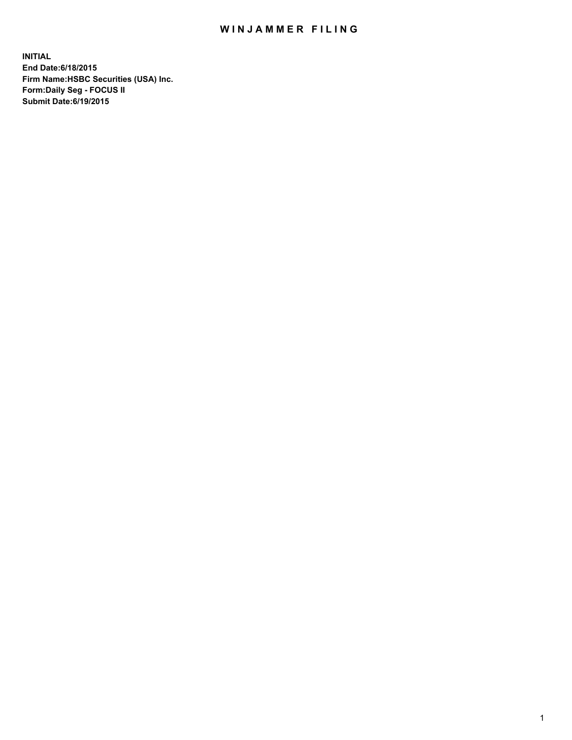## WIN JAMMER FILING

**INITIAL End Date:6/18/2015 Firm Name:HSBC Securities (USA) Inc. Form:Daily Seg - FOCUS II Submit Date:6/19/2015**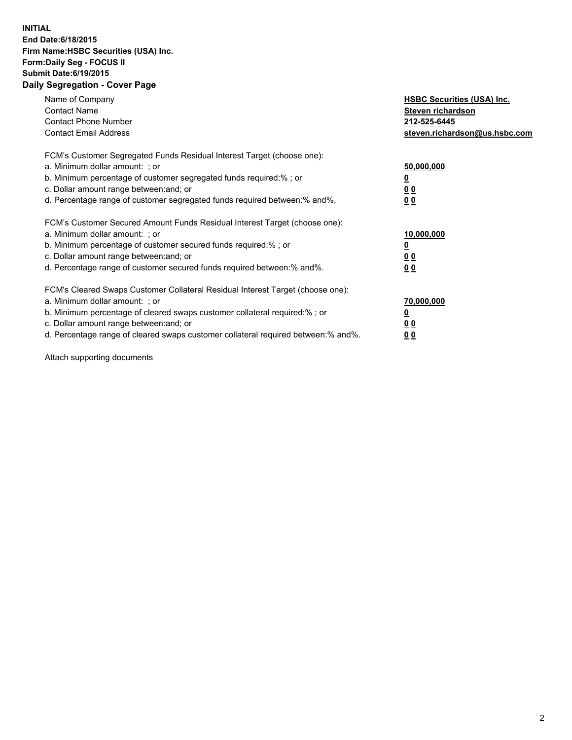## **INITIAL End Date:6/18/2015 Firm Name:HSBC Securities (USA) Inc. Form:Daily Seg - FOCUS II Submit Date:6/19/2015 Daily Segregation - Cover Page**

| Name of Company<br><b>Contact Name</b><br><b>Contact Phone Number</b><br><b>Contact Email Address</b>                                                                                                                                                                                                                         | <b>HSBC Securities (USA) Inc.</b><br>Steven richardson<br>212-525-6445<br>steven.richardson@us.hsbc.com |
|-------------------------------------------------------------------------------------------------------------------------------------------------------------------------------------------------------------------------------------------------------------------------------------------------------------------------------|---------------------------------------------------------------------------------------------------------|
| FCM's Customer Segregated Funds Residual Interest Target (choose one):<br>a. Minimum dollar amount: ; or<br>b. Minimum percentage of customer segregated funds required:%; or<br>c. Dollar amount range between: and; or<br>d. Percentage range of customer segregated funds required between:% and%.                         | 50,000,000<br>00<br>0 <sub>0</sub>                                                                      |
| FCM's Customer Secured Amount Funds Residual Interest Target (choose one):<br>a. Minimum dollar amount: ; or<br>b. Minimum percentage of customer secured funds required:%; or<br>c. Dollar amount range between: and; or<br>d. Percentage range of customer secured funds required between:% and%.                           | 10,000,000<br>0 <sub>0</sub><br>00                                                                      |
| FCM's Cleared Swaps Customer Collateral Residual Interest Target (choose one):<br>a. Minimum dollar amount: ; or<br>b. Minimum percentage of cleared swaps customer collateral required:%; or<br>c. Dollar amount range between: and; or<br>d. Percentage range of cleared swaps customer collateral required between:% and%. | 70,000,000<br><u>00</u><br><u>00</u>                                                                    |

Attach supporting documents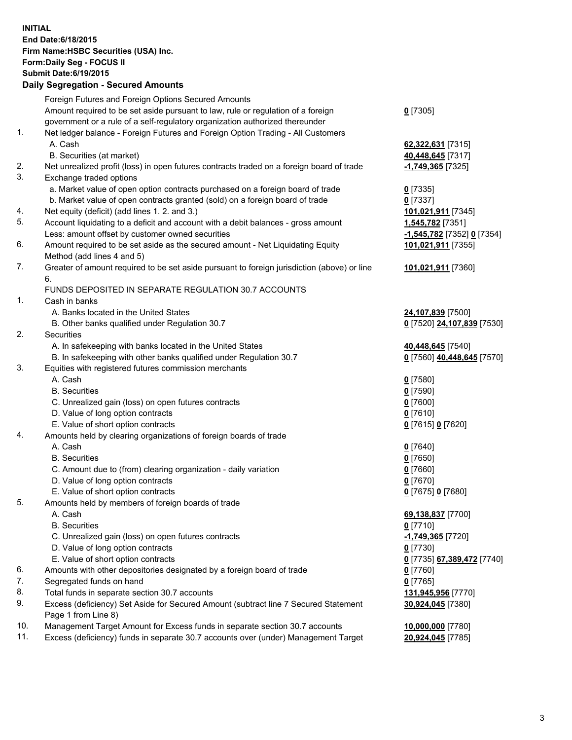**INITIAL End Date:6/18/2015 Firm Name:HSBC Securities (USA) Inc. Form:Daily Seg - FOCUS II Submit Date:6/19/2015 Daily Segregation - Secured Amounts**

Foreign Futures and Foreign Options Secured Amounts Amount required to be set aside pursuant to law, rule or regulation of a foreign government or a rule of a self-regulatory organization authorized thereunder **0** [7305] 1. Net ledger balance - Foreign Futures and Foreign Option Trading - All Customers A. Cash **62,322,631** [7315] B. Securities (at market) **40,448,645** [7317] 2. Net unrealized profit (loss) in open futures contracts traded on a foreign board of trade **-1,749,365** [7325] 3. Exchange traded options a. Market value of open option contracts purchased on a foreign board of trade **0** [7335] b. Market value of open contracts granted (sold) on a foreign board of trade **0** [7337] 4. Net equity (deficit) (add lines 1. 2. and 3.) **101,021,911** [7345] 5. Account liquidating to a deficit and account with a debit balances - gross amount **1,545,782** [7351] Less: amount offset by customer owned securities **-1,545,782** [7352] **0** [7354] 6. Amount required to be set aside as the secured amount - Net Liquidating Equity Method (add lines 4 and 5) **101,021,911** [7355] 7. Greater of amount required to be set aside pursuant to foreign jurisdiction (above) or line 6. **101,021,911** [7360] FUNDS DEPOSITED IN SEPARATE REGULATION 30.7 ACCOUNTS 1. Cash in banks A. Banks located in the United States **24,107,839** [7500] B. Other banks qualified under Regulation 30.7 **0** [7520] **24,107,839** [7530] 2. Securities A. In safekeeping with banks located in the United States **40,448,645** [7540] B. In safekeeping with other banks qualified under Regulation 30.7 **0** [7560] **40,448,645** [7570] 3. Equities with registered futures commission merchants A. Cash **0** [7580] B. Securities **0** [7590] C. Unrealized gain (loss) on open futures contracts **0** [7600] D. Value of long option contracts **0** [7610] E. Value of short option contracts **0** [7615] **0** [7620] 4. Amounts held by clearing organizations of foreign boards of trade A. Cash **0** [7640] B. Securities **0** [7650] C. Amount due to (from) clearing organization - daily variation **0** [7660] D. Value of long option contracts **0** [7670] E. Value of short option contracts **0** [7675] **0** [7680] 5. Amounts held by members of foreign boards of trade A. Cash **69,138,837** [7700] B. Securities **0** [7710] C. Unrealized gain (loss) on open futures contracts **-1,749,365** [7720] D. Value of long option contracts **0** [7730] E. Value of short option contracts **0** [7735] **67,389,472** [7740] 6. Amounts with other depositories designated by a foreign board of trade **0** [7760] 7. Segregated funds on hand **0** [7765] 8. Total funds in separate section 30.7 accounts **131,945,956** [7770] 9. Excess (deficiency) Set Aside for Secured Amount (subtract line 7 Secured Statement Page 1 from Line 8) **30,924,045** [7380] 10. Management Target Amount for Excess funds in separate section 30.7 accounts **10,000,000** [7780] 11. Excess (deficiency) funds in separate 30.7 accounts over (under) Management Target **20,924,045** [7785]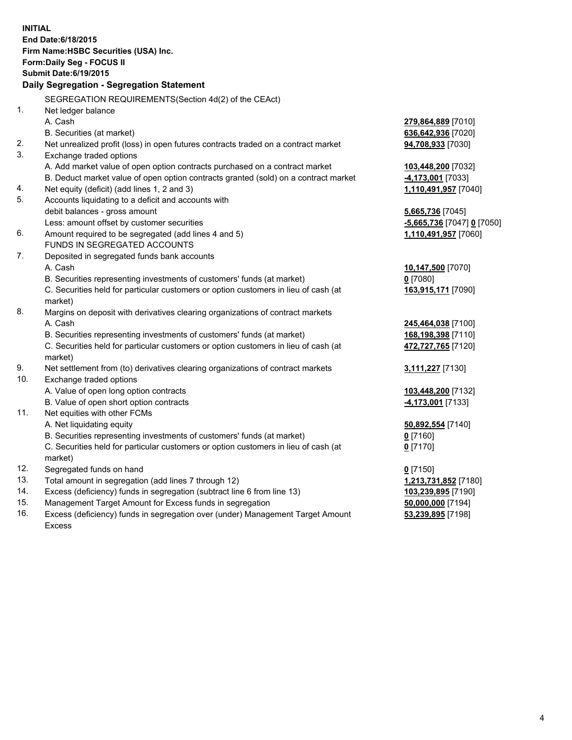| <b>INITIAL</b>                            |                                                                                                |                            |  |  |
|-------------------------------------------|------------------------------------------------------------------------------------------------|----------------------------|--|--|
| End Date: 6/18/2015                       |                                                                                                |                            |  |  |
| Firm Name: HSBC Securities (USA) Inc.     |                                                                                                |                            |  |  |
| Form: Daily Seg - FOCUS II                |                                                                                                |                            |  |  |
| <b>Submit Date:6/19/2015</b>              |                                                                                                |                            |  |  |
| Daily Segregation - Segregation Statement |                                                                                                |                            |  |  |
|                                           | SEGREGATION REQUIREMENTS(Section 4d(2) of the CEAct)                                           |                            |  |  |
| 1.                                        | Net ledger balance                                                                             |                            |  |  |
|                                           | A. Cash                                                                                        | 279,864,889 [7010]         |  |  |
|                                           | B. Securities (at market)                                                                      | 636,642,936 [7020]         |  |  |
| 2.                                        | Net unrealized profit (loss) in open futures contracts traded on a contract market             | 94,708,933 [7030]          |  |  |
| 3.                                        | Exchange traded options                                                                        |                            |  |  |
|                                           | A. Add market value of open option contracts purchased on a contract market                    | 103,448,200 [7032]         |  |  |
|                                           | B. Deduct market value of open option contracts granted (sold) on a contract market            | 4,173,001 [7033]           |  |  |
| 4.                                        | Net equity (deficit) (add lines 1, 2 and 3)                                                    | 1,110,491,957 [7040]       |  |  |
| 5.                                        | Accounts liquidating to a deficit and accounts with                                            |                            |  |  |
|                                           | debit balances - gross amount                                                                  | 5,665,736 [7045]           |  |  |
|                                           | Less: amount offset by customer securities                                                     | -5,665,736 [7047] 0 [7050] |  |  |
| 6.                                        | Amount required to be segregated (add lines 4 and 5)                                           | 1,110,491,957 [7060]       |  |  |
|                                           | FUNDS IN SEGREGATED ACCOUNTS                                                                   |                            |  |  |
| 7.                                        | Deposited in segregated funds bank accounts                                                    |                            |  |  |
|                                           | A. Cash                                                                                        | 10,147,500 [7070]          |  |  |
|                                           | B. Securities representing investments of customers' funds (at market)                         | $0$ [7080]                 |  |  |
|                                           | C. Securities held for particular customers or option customers in lieu of cash (at            | 163,915,171 [7090]         |  |  |
|                                           | market)                                                                                        |                            |  |  |
| 8.                                        | Margins on deposit with derivatives clearing organizations of contract markets                 |                            |  |  |
|                                           | A. Cash                                                                                        | 245,464,038 [7100]         |  |  |
|                                           | B. Securities representing investments of customers' funds (at market)                         | 168,198,398 [7110]         |  |  |
|                                           | C. Securities held for particular customers or option customers in lieu of cash (at            | 472,727,765 [7120]         |  |  |
|                                           | market)                                                                                        |                            |  |  |
| 9.                                        | Net settlement from (to) derivatives clearing organizations of contract markets                | 3,111,227 [7130]           |  |  |
| 10.                                       | Exchange traded options                                                                        |                            |  |  |
|                                           | A. Value of open long option contracts                                                         | 103,448,200 [7132]         |  |  |
|                                           | B. Value of open short option contracts                                                        | 4,173,001 [7133]           |  |  |
| 11.                                       | Net equities with other FCMs                                                                   |                            |  |  |
|                                           | A. Net liquidating equity                                                                      | 50,892,554 [7140]          |  |  |
|                                           | B. Securities representing investments of customers' funds (at market)                         | $0$ [7160]                 |  |  |
|                                           | C. Securities held for particular customers or option customers in lieu of cash (at<br>market) | $0$ [7170]                 |  |  |
| 12.                                       | Segregated funds on hand                                                                       | $0$ [7150]                 |  |  |
| 13.                                       | Total amount in segregation (add lines 7 through 12)                                           | 1,213,731,852 [7180]       |  |  |
| 14.                                       | Excess (deficiency) funds in segregation (subtract line 6 from line 13)                        | 103,239,895 [7190]         |  |  |
| 15.                                       | Management Target Amount for Excess funds in segregation                                       | 50,000,000 [7194]          |  |  |
| 16.                                       | Excess (deficiency) funds in segregation over (under) Management Target Amount                 | 53,239,895 [7198]          |  |  |

16. Excess (deficiency) funds in segregation over (under) Management Target Amount Excess